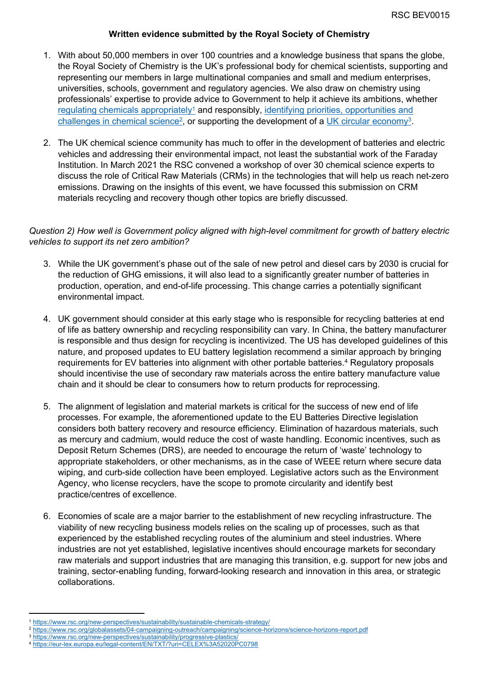#### **Written evidence submitted by the Royal Society of Chemistry**

- 1. With about 50,000 members in over 100 countries and a knowledge business that spans the globe, the Royal Society of Chemistry is the UK's professional body for chemical scientists, supporting and representing our members in large multinational companies and small and medium enterprises, universities, schools, government and regulatory agencies. We also draw on chemistry using professionals' expertise to provide advice to Government to help it achieve its ambitions, whether [regulating](https://www.rsc.org/new-perspectives/sustainability/sustainable-chemicals-strategy/) [chemicals](https://www.rsc.org/new-perspectives/sustainability/sustainable-chemicals-strategy/) [appropriately](https://www.rsc.org/new-perspectives/sustainability/sustainable-chemicals-strategy/)<sup>1</sup> and responsibly, [identifying](https://www.rsc.org/globalassets/04-campaigning-outreach/campaigning/science-horizons/science-horizons-report.pdf) [priorities,](https://www.rsc.org/globalassets/04-campaigning-outreach/campaigning/science-horizons/science-horizons-report.pdf) [opportunities](https://www.rsc.org/globalassets/04-campaigning-outreach/campaigning/science-horizons/science-horizons-report.pdf) [and](https://www.rsc.org/globalassets/04-campaigning-outreach/campaigning/science-horizons/science-horizons-report.pdf) [challenges](https://www.rsc.org/globalassets/04-campaigning-outreach/campaigning/science-horizons/science-horizons-report.pdf) [in](https://www.rsc.org/globalassets/04-campaigning-outreach/campaigning/science-horizons/science-horizons-report.pdf) [chemical](https://www.rsc.org/globalassets/04-campaigning-outreach/campaigning/science-horizons/science-horizons-report.pdf) [science](https://www.rsc.org/globalassets/04-campaigning-outreach/campaigning/science-horizons/science-horizons-report.pdf)<sup>[2](https://www.rsc.org/globalassets/04-campaigning-outreach/campaigning/science-horizons/science-horizons-report.pdf)</sup>, or supporting the development of a [UK](https://www.rsc.org/new-perspectives/sustainability/progressive-plastics/) [circular](https://www.rsc.org/new-perspectives/sustainability/progressive-plastics/) [economy](https://www.rsc.org/new-perspectives/sustainability/progressive-plastics/)<sup>3</sup>.
- 2. The UK chemical science community has much to offer in the development of batteries and electric vehicles and addressing their environmental impact, not least the substantial work of the Faraday Institution. In March 2021 the RSC convened a workshop of over 30 chemical science experts to discuss the role of Critical Raw Materials (CRMs) in the technologies that will help us reach net-zero emissions. Drawing on the insights of this event, we have focussed this submission on CRM materials recycling and recovery though other topics are briefly discussed.

## *Question 2) How well is Government policy aligned with high-level commitment for growth of battery electric vehicles to support its net zero ambition?*

- 3. While the UK government's phase out of the sale of new petrol and diesel cars by 2030 is crucial for the reduction of GHG emissions, it will also lead to a significantly greater number of batteries in production, operation, and end-of-life processing. This change carries a potentially significant environmental impact.
- 4. UK government should consider at this early stage who is responsible for recycling batteries at end of life as battery ownership and recycling responsibility can vary. In China, the battery manufacturer is responsible and thus design for recycling is incentivized. The US has developed guidelines of this nature, and proposed updates to EU battery legislation recommend a similar approach by bringing requirements for EV batteries into alignment with other portable batteries.<sup>4</sup> Regulatory proposals should incentivise the use of secondary raw materials across the entire battery manufacture value chain and it should be clear to consumers how to return products for reprocessing.
- 5. The alignment of legislation and material markets is critical for the success of new end of life processes. For example, the aforementioned update to the EU Batteries Directive legislation considers both battery recovery and resource efficiency. Elimination of hazardous materials, such as mercury and cadmium, would reduce the cost of waste handling. Economic incentives, such as Deposit Return Schemes (DRS), are needed to encourage the return of 'waste' technology to appropriate stakeholders, or other mechanisms, as in the case of WEEE return where secure data wiping, and curb-side collection have been employed. Legislative actors such as the Environment Agency, who license recyclers, have the scope to promote circularity and identify best practice/centres of excellence.
- 6. Economies of scale are a major barrier to the establishment of new recycling infrastructure. The viability of new recycling business models relies on the scaling up of processes, such as that experienced by the established recycling routes of the aluminium and steel industries. Where industries are not yet established, legislative incentives should encourage markets for secondary raw materials and support industries that are managing this transition, e.g. support for new jobs and training, sector-enabling funding, forward-looking research and innovation in this area, or strategic collaborations.

<sup>1</sup> <https://www.rsc.org/new-perspectives/sustainability/sustainable-chemicals-strategy/>

<sup>2</sup> <https://www.rsc.org/globalassets/04-campaigning-outreach/campaigning/science-horizons/science-horizons-report.pdf>

<sup>&</sup>lt;sup>3</sup> <https://www.rsc.org/new-perspectives/sustainability/progressive-plastics/>

<sup>4</sup> <https://eur-lex.europa.eu/legal-content/EN/TXT/?uri=CELEX%3A52020PC0798>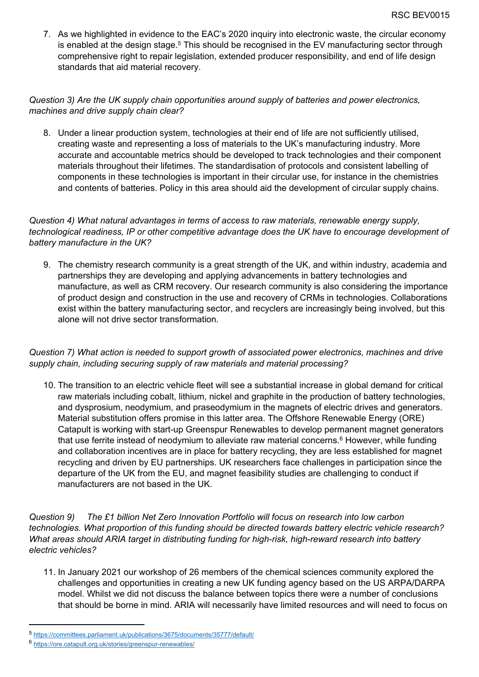7. As we highlighted in evidence to the EAC's 2020 inquiry into electronic waste, the circular economy is enabled at the design stage.<sup>5</sup> This should be recognised in the EV manufacturing sector through comprehensive right to repair legislation, extended producer responsibility, and end of life design standards that aid material recovery.

## *Question 3) Are the UK supply chain opportunities around supply of batteries and power electronics, machines and drive supply chain clear?*

8. Under a linear production system, technologies at their end of life are not sufficiently utilised, creating waste and representing a loss of materials to the UK's manufacturing industry. More accurate and accountable metrics should be developed to track technologies and their component materials throughout their lifetimes. The standardisation of protocols and consistent labelling of components in these technologies is important in their circular use, for instance in the chemistries and contents of batteries. Policy in this area should aid the development of circular supply chains.

*Question 4) What natural advantages in terms of access to raw materials, renewable energy supply, technological readiness, IP or other competitive advantage does the UK have to encourage development of battery manufacture in the UK?*

9. The chemistry research community is a great strength of the UK, and within industry, academia and partnerships they are developing and applying advancements in battery technologies and manufacture, as well as CRM recovery. Our research community is also considering the importance of product design and construction in the use and recovery of CRMs in technologies. Collaborations exist within the battery manufacturing sector, and recyclers are increasingly being involved, but this alone will not drive sector transformation.

# *Question 7) What action is needed to support growth of associated power electronics, machines and drive supply chain, including securing supply of raw materials and material processing?*

10. The transition to an electric vehicle fleet will see a substantial increase in global demand for critical raw materials including cobalt, lithium, nickel and graphite in the production of battery technologies, and dysprosium, neodymium, and praseodymium in the magnets of electric drives and generators. Material substitution offers promise in this latter area. The Offshore Renewable Energy (ORE) Catapult is working with start-up Greenspur Renewables to develop permanent magnet generators that use ferrite instead of neodymium to alleviate raw material concerns.<sup>6</sup> However, while funding and collaboration incentives are in place for battery recycling, they are less established for magnet recycling and driven by EU partnerships. UK researchers face challenges in participation since the departure of the UK from the EU, and magnet feasibility studies are challenging to conduct if manufacturers are not based in the UK.

*Question 9) The £1 billion Net Zero Innovation Portfolio will focus on research into low carbon technologies. What proportion of this funding should be directed towards battery electric vehicle research? What areas should ARIA target in distributing funding for high-risk, high-reward research into battery electric vehicles?*

11. In January 2021 our workshop of 26 members of the chemical sciences community explored the challenges and opportunities in creating a new UK funding agency based on the US ARPA/DARPA model. Whilst we did not discuss the balance between topics there were a number of conclusions that should be borne in mind. ARIA will necessarily have limited resources and will need to focus on

<sup>5</sup> <https://committees.parliament.uk/publications/3675/documents/35777/default/>

<sup>6</sup> <https://ore.catapult.org.uk/stories/greenspur-renewables/>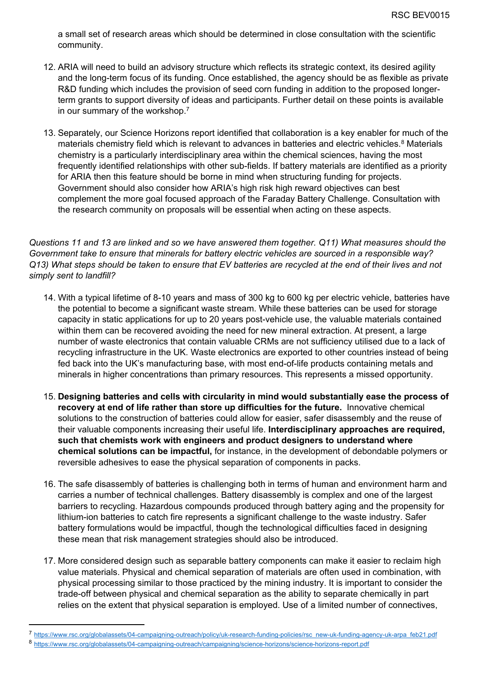a small set of research areas which should be determined in close consultation with the scientific community.

- 12. ARIA will need to build an advisory structure which reflects its strategic context, its desired agility and the long-term focus of its funding. Once established, the agency should be as flexible as private R&D funding which includes the provision of seed corn funding in addition to the proposed longerterm grants to support diversity of ideas and participants. Further detail on these points is available in our summary of the workshop.<sup>7</sup>
- 13. Separately, our Science Horizons report identified that collaboration is a key enabler for much of the materials chemistry field which is relevant to advances in batteries and electric vehicles.<sup>8</sup> Materials chemistry is a particularly interdisciplinary area within the chemical sciences, having the most frequently identified relationships with other sub-fields. If battery materials are identified as a priority for ARIA then this feature should be borne in mind when structuring funding for projects. Government should also consider how ARIA's high risk high reward objectives can best complement the more goal focused approach of the Faraday Battery Challenge. Consultation with the research community on proposals will be essential when acting on these aspects.

Questions 11 and 13 are linked and so we have answered them together. Q11) What measures should the *Government take to ensure that minerals for battery electric vehicles are sourced in a responsible way?* Q13) What steps should be taken to ensure that EV batteries are recycled at the end of their lives and not *simply sent to landfill?*

- 14. With a typical lifetime of 8-10 years and mass of 300 kg to 600 kg per electric vehicle, batteries have the potential to become a significant waste stream. While these batteries can be used for storage capacity in static applications for up to 20 years post-vehicle use, the valuable materials contained within them can be recovered avoiding the need for new mineral extraction. At present, a large number of waste electronics that contain valuable CRMs are not sufficiency utilised due to a lack of recycling infrastructure in the UK. Waste electronics are exported to other countries instead of being fed back into the UK's manufacturing base, with most end-of-life products containing metals and minerals in higher concentrations than primary resources. This represents a missed opportunity.
- 15. **Designing batteries and cells with circularity in mind would substantially ease the process of recovery at end of life rather than store up difficulties for the future.** Innovative chemical solutions to the construction of batteries could allow for easier, safer disassembly and the reuse of their valuable components increasing their useful life. **Interdisciplinary approaches are required, such that chemists work with engineers and product designers to understand where chemical solutions can be impactful,** for instance, in the development of debondable polymers or reversible adhesives to ease the physical separation of components in packs.
- 16. The safe disassembly of batteries is challenging both in terms of human and environment harm and carries a number of technical challenges. Battery disassembly is complex and one of the largest barriers to recycling. Hazardous compounds produced through battery aging and the propensity for lithium-ion batteries to catch fire represents a significant challenge to the waste industry. Safer battery formulations would be impactful, though the technological difficulties faced in designing these mean that risk management strategies should also be introduced.
- 17. More considered design such as separable battery components can make it easier to reclaim high value materials. Physical and chemical separation of materials are often used in combination, with physical processing similar to those practiced by the mining industry. It is important to consider the trade-off between physical and chemical separation as the ability to separate chemically in part relies on the extent that physical separation is employed. Use of a limited number of connectives,

[https://www.rsc.org/globalassets/04-campaigning-outreach/policy/uk-research-funding-policies/rsc\\_new-uk-funding-agency-uk-arpa\\_feb21.pdf](https://www.rsc.org/globalassets/04-campaigning-outreach/policy/uk-research-funding-policies/rsc_new-uk-funding-agency-uk-arpa_feb21.pdf)

<sup>8</sup> <https://www.rsc.org/globalassets/04-campaigning-outreach/campaigning/science-horizons/science-horizons-report.pdf>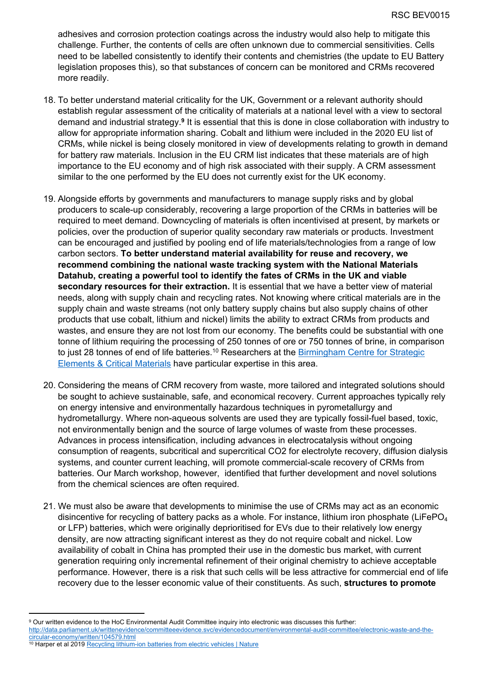adhesives and corrosion protection coatings across the industry would also help to mitigate this challenge. Further, the contents of cells are often unknown due to commercial sensitivities. Cells need to be labelled consistently to identify their contents and chemistries (the update to EU Battery legislation proposes this), so that substances of concern can be monitored and CRMs recovered more readily.

- 18. To better understand material criticality for the UK, Government or a relevant authority should establish regular assessment of the criticality of materials at a national level with a view to sectoral demand and industrial strategy.**<sup>9</sup>** It is essential that this is done in close collaboration with industry to allow for appropriate information sharing. Cobalt and lithium were included in the 2020 EU list of CRMs, while nickel is being closely monitored in view of developments relating to growth in demand for battery raw materials. Inclusion in the EU CRM list indicates that these materials are of high importance to the EU economy and of high risk associated with their supply. A CRM assessment similar to the one performed by the EU does not currently exist for the UK economy.
- 19. Alongside efforts by governments and manufacturers to manage supply risks and by global producers to scale-up considerably, recovering a large proportion of the CRMs in batteries will be required to meet demand. Downcycling of materials is often incentivised at present, by markets or policies, over the production of superior quality secondary raw materials or products. Investment can be encouraged and justified by pooling end of life materials/technologies from a range of low carbon sectors. **To better understand material availability for reuse and recovery, we recommend combining the national waste tracking system with the National Materials Datahub, creating a powerful tool to identify the fates of CRMs in the UK and viable secondary resources for their extraction.** It is essential that we have a better view of material needs, along with supply chain and recycling rates. Not knowing where critical materials are in the supply chain and waste streams (not only battery supply chains but also supply chains of other products that use cobalt, lithium and nickel) limits the ability to extract CRMs from products and wastes, and ensure they are not lost from our economy. The benefits could be substantial with one tonne of lithium requiring the processing of 250 tonnes of ore or 750 tonnes of brine, in comparison to just 28 tonnes of end of life batteries.<sup>10</sup> Researchers at the [Birmingham](https://www.birmingham.ac.uk/research/energy/research/centre-strategic-elements-critical-materials/index.aspx) [Centre](https://www.birmingham.ac.uk/research/energy/research/centre-strategic-elements-critical-materials/index.aspx) [for](https://www.birmingham.ac.uk/research/energy/research/centre-strategic-elements-critical-materials/index.aspx) [Strategic](https://www.birmingham.ac.uk/research/energy/research/centre-strategic-elements-critical-materials/index.aspx) [Elements](https://www.birmingham.ac.uk/research/energy/research/centre-strategic-elements-critical-materials/index.aspx) [&](https://www.birmingham.ac.uk/research/energy/research/centre-strategic-elements-critical-materials/index.aspx) [Critical](https://www.birmingham.ac.uk/research/energy/research/centre-strategic-elements-critical-materials/index.aspx) [Materials](https://www.birmingham.ac.uk/research/energy/research/centre-strategic-elements-critical-materials/index.aspx) have particular expertise in this area.
- 20. Considering the means of CRM recovery from waste, more tailored and integrated solutions should be sought to achieve sustainable, safe, and economical recovery. Current approaches typically rely on energy intensive and environmentally hazardous techniques in pyrometallurgy and hydrometallurgy. Where non-aqueous solvents are used they are typically fossil-fuel based, toxic, not environmentally benign and the source of large volumes of waste from these processes. Advances in process intensification, including advances in electrocatalysis without ongoing consumption of reagents, subcritical and supercritical CO2 for electrolyte recovery, diffusion dialysis systems, and counter current leaching, will promote commercial-scale recovery of CRMs from batteries. Our March workshop, however, identified that further development and novel solutions from the chemical sciences are often required.
- 21. We must also be aware that developments to minimise the use of CRMs may act as an economic disincentive for recycling of battery packs as a whole. For instance, lithium iron phosphate (LiFePO<sub>4</sub>) or LFP) batteries, which were originally deprioritised for EVs due to their relatively low energy density, are now attracting significant interest as they do not require cobalt and nickel. Low availability of cobalt in China has prompted their use in the domestic bus market, with current generation requiring only incremental refinement of their original chemistry to achieve acceptable performance. However, there is a risk that such cells will be less attractive for commercial end of life recovery due to the lesser economic value of their constituents. As such, **structures to promote**

<sup>9</sup> Our written evidence to the HoC Environmental Audit Committee inquiry into electronic was discusses this further: [http://data.parliament.uk/writtenevidence/committeeevidence.svc/evidencedocument/environmental-audit-committee/electronic-waste-and-the](http://data.parliament.uk/writtenevidence/committeeevidence.svc/evidencedocument/environmental-audit-committee/electronic-waste-and-the-circular-economy/written/104579.html)[circular-economy/written/104579.html](http://data.parliament.uk/writtenevidence/committeeevidence.svc/evidencedocument/environmental-audit-committee/electronic-waste-and-the-circular-economy/written/104579.html)

<sup>&</sup>lt;sup>10</sup> Harper et al 2019 [Recycling](https://www.nature.com/articles/s41586-019-1682-5) [lithium-ion](https://www.nature.com/articles/s41586-019-1682-5) [batteries](https://www.nature.com/articles/s41586-019-1682-5) [from](https://www.nature.com/articles/s41586-019-1682-5) [electric](https://www.nature.com/articles/s41586-019-1682-5) [vehicles](https://www.nature.com/articles/s41586-019-1682-5) [|](https://www.nature.com/articles/s41586-019-1682-5) [Nature](https://www.nature.com/articles/s41586-019-1682-5)